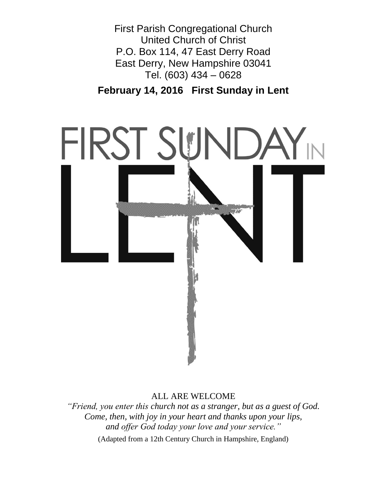First Parish Congregational Church United Church of Christ P.O. Box 114, 47 East Derry Road East Derry, New Hampshire 03041 Tel. (603) 434 – 0628

**February 14, 2016 First Sunday in Lent**



ALL ARE WELCOME

*"Friend, you enter this church not as a stranger, but as a guest of God. Come, then, with joy in your heart and thanks upon your lips, and offer God today your love and your service."* (Adapted from a 12th Century Church in Hampshire, England)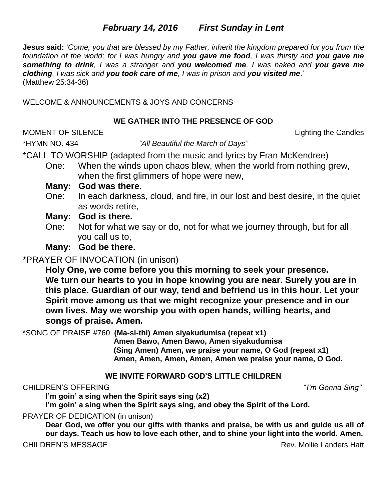# *February 14, 2016**First Sunday in Lent*

**Jesus said:** '*Come, you that are blessed by my Father, inherit the kingdom prepared for you from the foundation of the world; for I was hungry and you gave me food, I was thirsty and you gave me something to drink, I was a stranger and you welcomed me, I was naked and you gave me clothing, I was sick and you took care of me, I was in prison and you visited me*.' (Matthew 25:34-36)

WELCOME & ANNOUNCEMENTS & JOYS AND CONCERNS

# **WE GATHER INTO THE PRESENCE OF GOD**

MOMENT OF SILENCE Lighting the Candles

\*HYMN NO. 434 *"All Beautiful the March of Days"*

\*CALL TO WORSHIP (adapted from the music and lyrics by Fran McKendree)

One: When the winds upon chaos blew, when the world from nothing grew, when the first glimmers of hope were new,

# **Many: God was there.**

One: In each darkness, cloud, and fire, in our lost and best desire, in the quiet as words retire,

# **Many: God is there.**

One: Not for what we say or do, not for what we journey through, but for all you call us to,

**Many: God be there.**

# \*PRAYER OF INVOCATION (in unison)

**Holy One, we come before you this morning to seek your presence. We turn our hearts to you in hope knowing you are near. Surely you are in this place. Guardian of our way, tend and befriend us in this hour. Let your Spirit move among us that we might recognize your presence and in our own lives. May we worship you with open hands, willing hearts, and songs of praise. Amen.**

\*SONG OF PRAISE #760 **(Ma-si-thi) Amen siyakudumisa (repeat x1)**

**Amen Bawo, Amen Bawo, Amen siyakudumisa (Sing Amen) Amen, we praise your name, O God (repeat x1) Amen, Amen, Amen, Amen, Amen we praise your name, O God.**

# **WE INVITE FORWARD GOD'S LITTLE CHILDREN**

# CHILDREN'S OFFERING "*I'm Gonna Sing"*

**I'm goin' a sing when the Spirit says sing (x2)**

**I'm goin' a sing when the Spirit says sing, and obey the Spirit of the Lord.**

PRAYER OF DEDICATION (in unison)

**Dear God, we offer you our gifts with thanks and praise, be with us and guide us all of our days. Teach us how to love each other, and to shine your light into the world. Amen.**

# CHILDREN'S MESSAGE CHILDREN'S MESSAGE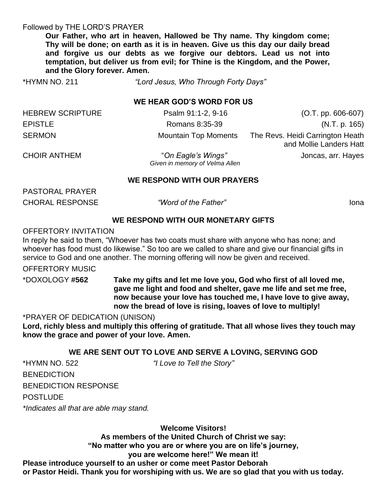#### Followed by THE LORD'S PRAYER

**Our Father, who art in heaven, Hallowed be Thy name. Thy kingdom come; Thy will be done; on earth as it is in heaven. Give us this day our daily bread and forgive us our debts as we forgive our debtors. Lead us not into temptation, but deliver us from evil; for Thine is the Kingdom, and the Power, and the Glory forever. Amen.** 

\*HYMN NO. 211 *"Lord Jesus, Who Through Forty Days"*

#### **WE HEAR GOD'S WORD FOR US**

| <b>HEBREW SCRIPTURE</b> | Psalm 91:1-2, 9-16          | $(O.T. pp. 606-607)$                                        |
|-------------------------|-----------------------------|-------------------------------------------------------------|
| <b>EPISTLE</b>          | Romans 8:35-39              | (N.T. p. 165)                                               |
| <b>SERMON</b>           | <b>Mountain Top Moments</b> | The Revs. Heidi Carrington Heath<br>and Mollie Landers Hatt |

CHOIR ANTHEM "*On Eagle's Wings"* Joncas, arr. Hayes  *Given in memory of Velma Allen*

#### **WE RESPOND WITH OUR PRAYERS**

PASTORAL PRAYER

CHORAL RESPONSE *"Word of the Father"* Iona

# **WE RESPOND WITH OUR MONETARY GIFTS**

#### OFFERTORY INVITATION

In reply he said to them, "Whoever has two coats must share with anyone who has none; and whoever has food must do likewise." So too are we called to share and give our financial gifts in service to God and one another. The morning offering will now be given and received.

#### OFFERTORY MUSIC

\*DOXOLOGY **#562 Take my gifts and let me love you, God who first of all loved me, gave me light and food and shelter, gave me life and set me free, now because your love has touched me, I have love to give away, now the bread of love is rising, loaves of love to multiply!**

#### \*PRAYER OF DEDICATION (UNISON)

**Lord, richly bless and multiply this offering of gratitude. That all whose lives they touch may know the grace and power of your love. Amen.**

## **WE ARE SENT OUT TO LOVE AND SERVE A LOVING, SERVING GOD**

\*HYMN NO. 522 *"I Love to Tell the Story"* **BENEDICTION** BENEDICTION RESPONSE POSTLUDE *\*Indicates all that are able may stand.*

**Welcome Visitors!**

**As members of the United Church of Christ we say:** 

**"No matter who you are or where you are on life's journey,** 

## **you are welcome here!" We mean it!**

**Please introduce yourself to an usher or come meet Pastor Deborah or Pastor Heidi. Thank you for worshiping with us. We are so glad that you with us today.**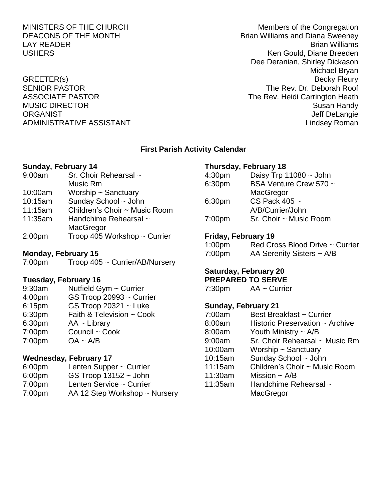MINISTERS OF THE CHURCH MINISTERS OF THE CHURCH DEACONS OF THE MONTH **BRIAN BRIAN BRIAN BRIAN BRIAN BRIAN BRIAN BRIAN BRIAN BRIAN BRIAN BRIAN BRIAN BRIAN BRIAN** LAY READER Brian Williams USHERS **Ken Gould, Diane Breeden** Dee Deranian, Shirley Dickason Michael Bryan GREETER(s) Becky Fleury SENIOR PASTOR THE REV. Dr. Deborah Roof ASSOCIATE PASTOR **The Rev. Heidi Carrington Heath** MUSIC DIRECTOR **Susan Handy** Susan Handy Susan Handy Susan Handy Susan Handy Susan Handy Susan Handy Susan Handy ORGANIST NEWSTAND ORGANIST CONSTRUCTED AND THE SERVICE OF STATE OF STATE OF STATE OF STATE OF STATE OF STATE O ADMINISTRATIVE ASSISTANT AND ALL THE LINDS OF A LINDS AND MINISTRATIVE ASSISTANT

## **First Parish Activity Calendar**

#### **Sunday, February 14**

9:00am Sr. Choir Rehearsal ~ Music Rm 10:00am Worship ~ Sanctuary 10:15am Sunday School ~ John 11:15am Children's Choir ~ Music Room 11:35am Handchime Rehearsal ~ **MacGregor** 2:00pm Troop 405 Workshop ~ Currier

#### **Monday, February 15**

7:00pm Troop 405 ~ Currier/AB/Nursery

## **Tuesday, February 16**

9:30am Nutfield Gym ~ Currier 4:00pm GS Troop 20993 ~ Currier 6:15pm GS Troop 20321 ~ Luke 6:30pm Faith & Television ~ Cook 6:30pm AA ~ Library 7:00pm Council ~ Cook 7:00pm OA ~ A/B

## **Wednesday, February 17**

- 6:00pm Lenten Supper ~ Currier
- 6:00pm GS Troop 13152 ~ John
- 7:00pm Lenten Service ~ Currier
- 7:00pm AA 12 Step Workshop ~ Nursery

## **Thursday, February 18**

| Daisy Trp $11080 \sim$ John |
|-----------------------------|
| BSA Venture Crew 570 ~      |
|                             |
|                             |
|                             |
| Sr. Choir ~ Music Room      |
|                             |

## **Friday, February 19**

| 1:00 <sub>pm</sub> | Red Cross Blood Drive ~ Currier |
|--------------------|---------------------------------|
| 7:00 <sub>pm</sub> | AA Serenity Sisters $\sim$ A/B  |

#### **Saturday, February 20 PREPARED TO SERVE**

7:30pm AA ~ Currier

## **Sunday, February 21**

| 7:00am  | Best Breakfast ~ Currier        |
|---------|---------------------------------|
| 8:00am  | Historic Preservation ~ Archive |
| 8:00am  | Youth Ministry $\sim$ A/B       |
| 9:00am  | Sr. Choir Rehearsal ~ Music Rm  |
| 10:00am | Worship $\sim$ Sanctuary        |
| 10:15am | Sunday School ~ John            |
| 11:15am | Children's Choir ~ Music Room   |
| 11:30am | Mission $\sim$ A/B              |
| 11:35am | Handchime Rehearsal ~           |
|         | MacGregor                       |